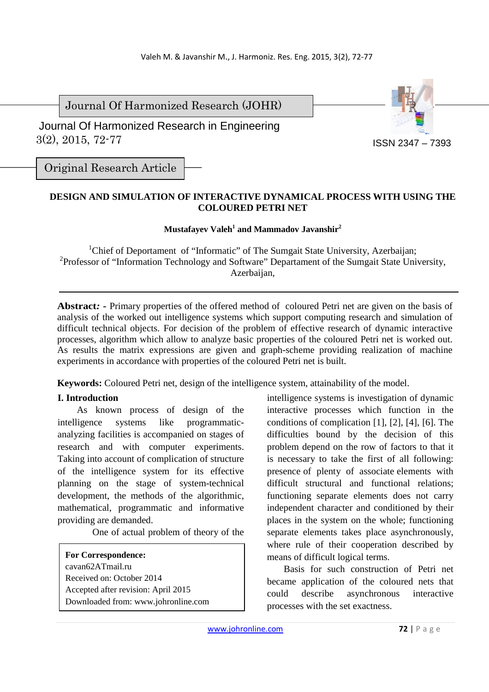Journal Of Harmonized Research (JOHR)

 3(2), 2015, 72-77 Journal Of Harmonized Research in Engineering



Original Research Article

# **DESIGN AND SIMULATION OF INTERACTIVE DYNAMICAL PROCESS WITH USING THE COLOURED PETRI NET**

## **Mustafayev Valeh<sup>1</sup> and Mammadov Javanshir<sup>2</sup>**

<sup>1</sup>Chief of Deportament of "Informatic" of The Sumgait State University, Azerbaijan; <sup>2</sup>Professor of "Information Technology and Software" Departament of the Sumgait State University, Azerbaijan,

**Abstract***: -* Primary properties of the offered method of coloured Petri net are given on the basis of analysis of the worked out intelligence systems which support computing research and simulation of difficult technical objects. For decision of the problem of effective research of dynamic interactive processes, algorithm which allow to analyze basic properties of the coloured Petri net is worked out. As results the matrix expressions are given and graph-scheme providing realization of machine experiments in accordance with properties of the coloured Petri net is built.

**Keywords:** Coloured Petri net, design of the intelligence system, attainability of the model.

### **I. Introduction**

 As known process of design of the intelligence systems like programmaticanalyzing facilities is accompanied on stages of research and with computer experiments. Taking into account of complication of structure of the intelligence system for its effective planning on the stage of system-technical development, the methods of the algorithmic, mathematical, programmatic and informative providing are demanded.

One of actual problem of theory of the

**For Correspondence:**  cavan62ATmail.ru Received on: October 2014 Accepted after revision: April 2015 Downloaded from: www.johronline.com intelligence systems is investigation of dynamic interactive processes which function in the conditions of complication [1], [2], [4], [6]. The difficulties bound by the decision of this problem depend on the row of factors to that it is necessary to take the first of all following: presence of plenty of associate elements with difficult structural and functional relations; functioning separate elements does not carry independent character and conditioned by their places in the system on the whole; functioning separate elements takes place asynchronously, where rule of their cooperation described by means of difficult logical terms.

 Basis for such construction of Petri net became application of the coloured nets that could describe asynchronous interactive processes with the set exactness.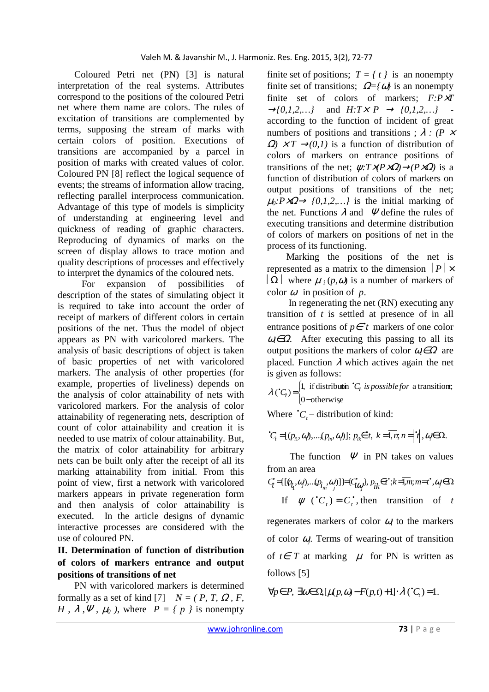Coloured Petri net (PN) [3] is natural interpretation of the real systems. Attributes correspond to the positions of the coloured Petri net where them name are colors. The rules of excitation of transitions are complemented by terms, supposing the stream of marks with certain colors of position. Executions of transitions are accompanied by a parcel in position of marks with created values of color. Coloured PN [8] reflect the logical sequence of events; the streams of information allow tracing, reflecting parallel interprocess communication. Advantage of this type of models is simplicity of understanding at engineering level and quickness of reading of graphic characters. Reproducing of dynamics of marks on the screen of display allows to trace motion and quality descriptions of processes and effectively to interpret the dynamics of the coloured nets.

 For expansion of possibilities of description of the states of simulating object it is required to take into account the order of receipt of markers of different colors in certain positions of the net. Thus the model of object appears as PN with varicolored markers. The analysis of basic descriptions of object is taken of basic properties of net with varicolored markers. The analysis of other properties (for example, properties of liveliness) depends on the analysis of color attainability of nets with varicolored markers. For the analysis of color attainability of regenerating nets, description of count of color attainability and creation it is needed to use matrix of colour attainability. But, the matrix of color attainability for arbitrary nets can be built only after the receipt of all its marking attainability from initial. From this point of view, first a network with varicolored markers appears in private regeneration form and then analysis of color attainability is executed. In the article designs of dynamic interactive processes are considered with the use of coloured PN.

# **II. Determination of function of distribution of colors of markers entrance and output positions of transitions of net**

 PN with varicolored markers is determined formally as a set of kind [7]  $N = (P, T, \Omega, F, \Omega)$ *H*,  $\lambda$ ,  $\Psi$ ,  $\mu_0$ , where  $P = \{p \}$  is nonempty

finite set of positions;  $T = \{ t \}$  is an nonempty finite set of transitions;  $\Omega = \{\omega\}$  is an nonempty finite set of colors of markers; *F:P*×*T*   $\rightarrow$  {0,1,2,...} and *H:T × P*  $\rightarrow$  {0,1,2,...} according to the function of incident of great numbers of positions and transitions ;  $\lambda$  : (P  $\times$  $\Omega$ )  $\times T \rightarrow 0.1$ ) is a function of distribution of colors of markers on entrance positions of transitions of the net:  $\psi: T \times (P \times Q) \rightarrow (P \times Q)$  is a function of distribution of colors of markers on output positions of transitions of the net;  $\mu_0$ : $P \times \Omega \rightarrow \{0, 1, 2, \dots\}$  is the initial marking of the net. Functions  $\lambda$  and  $\Psi$  define the rules of executing transitions and determine distribution of colors of markers on positions of net in the process of its functioning.

 Marking the positions of the net is represented as a matrix to the dimension  $|P| \times$  $\left| \Omega \right|$  where  $\mu_i(p,\omega)$  is a number of markers of color  $\omega$  in position of  $p$ .

 In regenerating the net (RN) executing any transition of *t* is settled at presence of in all entrance positions of  $p \in \text{'}t$  markers of one color  $\omega_i \in \Omega$ . After executing this passing to all its output positions the markers of color  $\omega \in \Omega$  are placed. Function  $\lambda$  which actives again the net is given as follows:

ŀ { f − =  $\cdot$   $\int$  =  $\int$  1, if distributin  $\cdot$ 0-otherwise  $\lambda$   $\binom{c}{t} = \begin{cases} 1, & \text{if distribution } {}^{\bullet}C_t \text{ is possible for a transition;} \\ 0, & \text{otherwise.} \end{cases}$ 

Where  ${}^{\bullet}C_{t}$  – distribution of kind:

$$
{}^{\bullet}C_{i}=[(p_{i1},\omega),...,(p_{in},\omega)];p_{ik}\in ^{\bullet}t,\ k=\overline{1,n},n=|{}^{\bullet}t|,\omega\in\Omega.
$$

The function  $\Psi$  in PN takes on values from an area

$$
C_t = \{ [\wp_{t_1}, \omega_j), \dots (\wp_{t_m}, \omega_j] \} \} \} \{ C_{t\omega_j}, p_{ik} \in t^*; k = \overline{1, m}; m = |t^*|, \omega_j \in \Omega
$$
  
If  $\psi$  ( ${}^{\bullet}C_t$ ) =  $C_t^*$ , then transition of t

regenerates markers of color  $\omega_i$  to the markers of color <sup>ω</sup>*j*. Terms of wearing-out of transition of  $t∈ T$  at marking  $\mu$  for PN is written as follows [5]

$$
\forall p \in P, \ \exists \omega \in \Omega \left[ \mu(p, \omega) - F(p, t) + 1 \right] \cdot \lambda \left( {}^{\bullet}C_{t} \right) = 1.
$$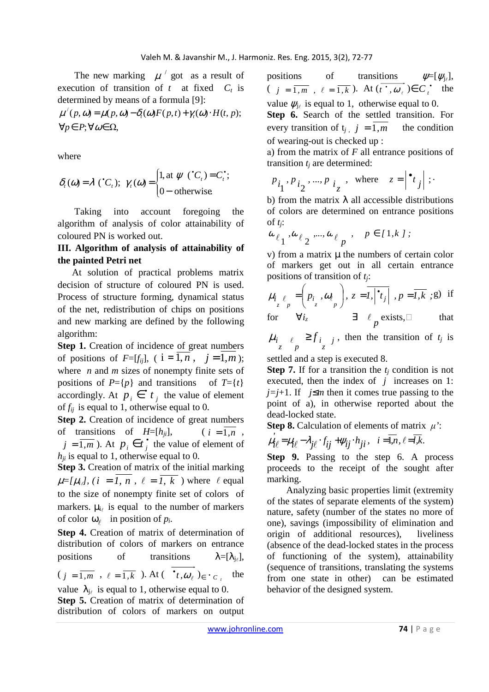The new marking  $\mu'$  got as a result of execution of transition of  $t$  at fixed  $C_t$  is determined by means of a formula [9]:

 $\forall p \in P; \forall \omega \in \Omega,$  $\mu'(p, \omega) = \mu(p, \omega) - \delta_t(\omega)F(p,t) + \gamma_t(\omega) \cdot H(t, p);$ 

where

$$
\delta_t(\omega) = \lambda \, (\text{`}C_t); \ \gamma_t(\omega) = \begin{cases} 1, \text{at } \psi \, (\text{`}C_t) = C_t^*; \\ 0 - \text{otherwise.} \end{cases}
$$

 Taking into account foregoing the algorithm of analysis of color attainability of coloured PN is worked out.

## **III. Algorithm of analysis of attainability of the painted Petri net**

 At solution of practical problems matrix decision of structure of coloured PN is used. Process of structure forming, dynamical status of the net, redistribution of chips on positions and new marking are defined by the following algorithm:

**Step 1.** Creation of incidence of great numbers of positions of  $F=[f_{ii}]$ , (  $i=\overline{1,n}$  ,  $j=\overline{1,m}$  ); where *n* and *m* sizes of nonempty finite sets of positions of  $P=\{p\}$  and transitions of  $T=\{t\}$ accordingly. At  $p_i \in \n{\bullet} t_j$  the value of element of  $f_{ij}$  is equal to 1, otherwise equal to 0.

**Step 2.** Creation of incidence of great numbers of transitions of  $H=[h_{ji}]$ ,  $(i = \overline{1,n}$ ,  $j = \overline{1,m}$ ). At  $p_i \in t_j^*$  the value of element of  $h_{ii}$  is equal to 1, otherwise equal to 0.

**Step 3.** Creation of matrix of the initial marking  $\mu = [\mu_i]$ ,  $(i = \overline{I, n}, \ell = \overline{I, k})$  where  $\ell$  equal to the size of nonempty finite set of colors of markers.  $\mu_{i}$  is equal to the number of markers of color  $\omega$ <sub> $\ell$ </sub> in position of  $p_i$ .

**Step 4.** Creation of matrix of determination of distribution of colors of markers on entrance positions of transitions  $\lambda = [\lambda_{i_{\ell}}],$ 

$$
(j = \overline{1,m}, \ell = \overline{1,k})
$$
. At  $(\bullet_t, \omega_\ell) \in \bullet_{C_t}$  the

value  $\lambda_{j\ell}$  is equal to 1, otherwise equal to 0. **Step 5.** Creation of matrix of determination of distribution of colors of markers on output

positions of transitions  $\psi = [\psi_{j_\ell}]$  $\psi=[\psi_{i_\ell}],$  $(j = \overline{1, m}, \ell = \overline{1, k})$ . At  $(\overline{t^{\bullet}, \omega_{\ell}}) \in C^{\bullet}_{t^{\bullet}}$  the value  $\psi_{j\ell}$  is equal to 1, otherwise equal to 0.

**Step 6.** Search of the settled transition. For every transition of  $t_i$ ,  $j = \overline{1,m}$  the condition of wearing-out is checked up :

а) from the matrix of *F* all entrance positions of transition  $t_j$  are determined:

$$
P_{i_1}, P_{i_2}, \dots, P_{i_z}, \text{ where } z = \begin{vmatrix} \bullet_t \\ t \end{vmatrix};
$$

b) from the matrix  $\lambda$  all accessible distributions of colors are determined on entrance positions of  $t_i$ :

$$
\omega_{\ell_1}, \omega_{\ell_2}, ..., \omega_{\ell_p}, \quad p \in [1, k];
$$

 $v$ ) from a matrix  $\mu$  the numbers of certain color of markers get out in all certain entrance positions of transition of *tj*:

$$
\mu_{i} \underset{z}{\ell} = \left( p_{i} \cdot \omega_{\ell} \right), \ z = \overline{I, \left| \cdot \right|} \cdot \overline{I} = \overline{I, k} \cdot \overline{g} \text{ if}
$$
\n
$$
\text{for } \forall i_{z} \qquad \exists \ell \text{ exists, } \square \qquad \text{that}
$$

 $\mu_i$   $\ell_i$  ≥  $f_i$  *j*, then the transition of *t<sub>j</sub>* is

settled and a step is executed 8.

**Step 7.** If for a transition the  $t_i$  condition is not executed, then the index of *j* increases on 1: *j*=*j*+1. If *j*≤*m* then it comes true passing to the point of a), in otherwise reported about the dead-locked state.

**Step 8.** Calculation of elements of matrix  $\mu$ <sup>'</sup>:

$$
\mu_{i\ell} = \mu_{i\ell} - \lambda_{j\ell} \cdot f_{ij} + \psi_{ij} \cdot h_{ji}, \quad i = \overline{1, n}, \ell = \overline{l, k}.
$$

**Step 9.** Passing to the step 6. A process proceeds to the receipt of the sought after marking.

 Analyzing basic properties limit (extremity of the states of separate elements of the system) nature, safety (number of the states no more of one), savings (impossibility of elimination and origin of additional resources), liveliness (absence of the dead-locked states in the process of functioning of the system), attainability (sequence of transitions, translating the systems from one state in other) can be estimated behavior of the designed system.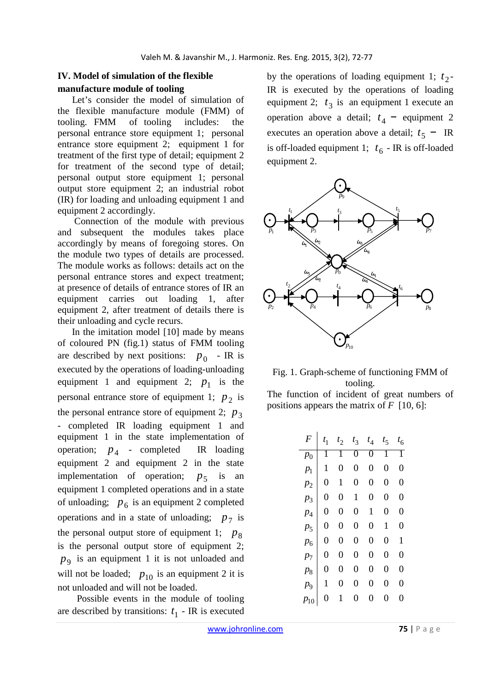## **IV. Model of simulation of the flexible manufacture module of tooling**

 Let's consider the model of simulation of the flexible manufacture module (FMM) of tooling. FMM of tooling includes: the personal entrance store equipment 1; personal entrance store equipment 2; equipment 1 for treatment of the first type of detail; equipment 2 for treatment of the second type of detail; personal output store equipment 1; personal output store equipment 2; an industrial robot (IR) for loading and unloading equipment 1 and equipment 2 accordingly.

 Connection of the module with previous and subsequent the modules takes place accordingly by means of foregoing stores. On the module two types of details are processed. The module works as follows: details act on the personal entrance stores and expect treatment; at presence of details of entrance stores of IR an equipment carries out loading 1, after equipment 2, after treatment of details there is their unloading and cycle recurs.

 In the imitation model [10] made by means of coloured PN (fig.1) status of FMM tooling are described by next positions:  $p_0$  - IR is executed by the operations of loading-unloading equipment 1 and equipment 2;  $p_1$  is the personal entrance store of equipment 1;  $p_2$  is the personal entrance store of equipment 2;  $p_3$ - completed IR loading equipment 1 and equipment 1 in the state implementation of operation;  $p_4$  - completed IR loading equipment 2 and equipment 2 in the state implementation of operation;  $p_5$  is an equipment 1 completed operations and in a state of unloading;  $p_6$  is an equipment 2 completed operations and in a state of unloading;  $p_7$  is the personal output store of equipment 1;  $p_8$ is the personal output store of equipment 2; 9 *p* is an equipment 1 it is not unloaded and will not be loaded;  $p_{10}$  is an equipment 2 it is not unloaded and will not be loaded.

 Possible events in the module of tooling are described by transitions:  $t_1$  - IR is executed

by the operations of loading equipment 1;  $t_2$ -IR is executed by the operations of loading equipment 2;  $t_3$  is an equipment 1 execute an operation above a detail;  $t_4$  – equipment 2 executes an operation above a detail;  $t_5$  – IR is off-loaded equipment 1;  $t_6$  - IR is off-loaded equipment 2.





The function of incident of great numbers of positions appears the matrix of *F* [10, 6]:

| F                | $t_1$          | $t_2$          | $t_3$          | $t_4$          | $t_{5}$        | $t_6$          |
|------------------|----------------|----------------|----------------|----------------|----------------|----------------|
| $p_0$            |                |                | 0              | 0              |                |                |
| $p_{1}$          | 1              | $\overline{0}$ | $\overline{0}$ | $\overline{0}$ | $\overline{0}$ | $\overline{0}$ |
| $p_2$            | $\overline{0}$ | 1              | 0              | 0              | $\overline{0}$ | $\overline{0}$ |
| $p_3$            | 0              | $\overline{0}$ | 1              | 0              | $\overline{0}$ | $\overline{0}$ |
| $\overline{p}_4$ | 0              | 0              | 0              | 1              | 0              | $\overline{0}$ |
| p <sub>5</sub>   | $\overline{0}$ | $\overline{0}$ | $\overline{0}$ | 0              | 1              | $\overline{0}$ |
| $p_{6}$          | $\overline{0}$ | $\overline{0}$ | $\overline{0}$ | 0              | $\overline{0}$ | 1              |
| $p_{7}$          | $\overline{0}$ | $\overline{0}$ | $\overline{0}$ | $\overline{0}$ | $\overline{0}$ | $\overline{0}$ |
| $p_8$            | 0              | $\overline{0}$ | 0              | 0              | 0              | 0              |
| рq               | 1              | $\overline{0}$ | 0              | 0              | 0              | 0              |
| $p_{10}$         | 0              | 1              | 0              | 0              | 0              | 0              |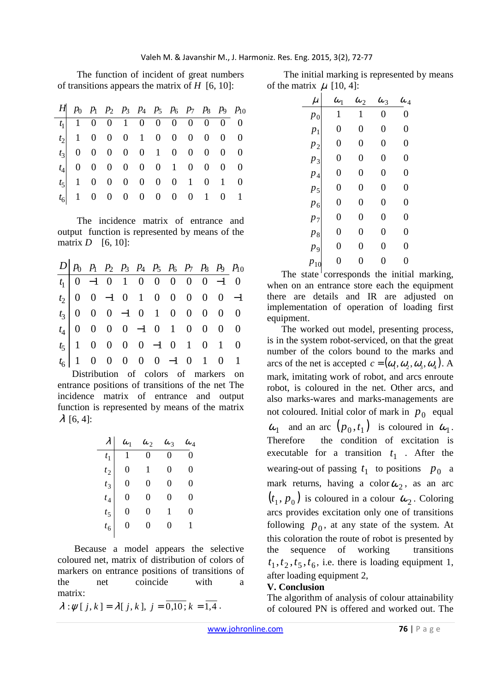The function of incident of great numbers of transitions appears the matrix of *H* [6, 10]:

| $H \begin{bmatrix} p_0 & p_1 & p_2 & p_3 & p_4 & p_5 & p_6 & p_7 & p_8 & p_9 & p_{10} \end{bmatrix}$ |  |  |  |  |  |
|------------------------------------------------------------------------------------------------------|--|--|--|--|--|
| $t_1$   1 0 0 1 0 0 0 0 0 0 0 0                                                                      |  |  |  |  |  |
| $t_2$ 1 0 0 0 1 0 0 0 0 0 0                                                                          |  |  |  |  |  |
| $t_3$ 0 0 0 0 0 1 0 0 0 0 0                                                                          |  |  |  |  |  |
| $t_4$ 0 0 0 0 0 0 1 0 0 0 0                                                                          |  |  |  |  |  |
| $t_5$ 1 0 0 0 0 0 0 1 0 1 0                                                                          |  |  |  |  |  |
| $t_6$ 1 0 0 0 0 0 0 0 1 0 1                                                                          |  |  |  |  |  |

 The incidence matrix of entrance and output function is represented by means of the matrix  $D$  [6, 10]:

 $\overline{a}$ 

|  |  |  |  |  | $D \begin{vmatrix} p_0 & p_1 & p_2 & p_3 & p_4 & p_5 & p_6 & p_7 & p_8 & p_9 & p_10 \end{vmatrix}$ |
|--|--|--|--|--|----------------------------------------------------------------------------------------------------|
|  |  |  |  |  |                                                                                                    |
|  |  |  |  |  |                                                                                                    |
|  |  |  |  |  |                                                                                                    |
|  |  |  |  |  |                                                                                                    |
|  |  |  |  |  |                                                                                                    |
|  |  |  |  |  |                                                                                                    |

 Distribution of colors of markers on entrance positions of transitions of the net The incidence matrix of entrance and output function is represented by means of the matrix  $\lambda$  [6, 4]:

|                  | $\omega_{1}$ | $\omega_2$ | $\omega_{3}$ | $\omega_{\scriptscriptstyle 4}$ |
|------------------|--------------|------------|--------------|---------------------------------|
| $t_{1}$          |              | $\theta$   | 0            | 0                               |
| $t_2$            | 0            | 1          | 0            | 0                               |
| $t_{3}$          | 0            | 0          | 0            | 0                               |
| $t_{4}$          | 0            | 0          | 0            | 0                               |
| $t_{\mathsf{S}}$ | 0            | 0          | 1            | 0                               |
| $t_6$            | 0            | 0          | 0            | 1                               |
|                  |              |            |              |                                 |

 Because a model appears the selective coloured net, matrix of distribution of colors of markers on entrance positions of transitions of the net coincide with a matrix:

$$
\lambda : \psi[j, k] = \lambda[j, k], j = \overline{0, 10; k} = \overline{1, 4}.
$$

 The initial marking is represented by means of the matrix  $\mu$  [10, 4]:

| $\mu$          | $\omega_1$     | $\omega_2$     | $\omega_3$       | $\omega_{\scriptscriptstyle 4}$ |
|----------------|----------------|----------------|------------------|---------------------------------|
| $p_{0}$        | 1              | 1              | $\boldsymbol{0}$ | $\rm 0$                         |
| $p_1$          | $\overline{0}$ | $\overline{0}$ | $\overline{0}$   | $\overline{0}$                  |
| $p_2$          | $\rm 0$        | $\overline{0}$ | $\overline{0}$   | $\overline{0}$                  |
| $p_3$          | $\overline{0}$ | $\overline{0}$ | $\overline{0}$   | $\overline{0}$                  |
| $p_4$          | $\overline{0}$ | $\overline{0}$ | $\overline{0}$   | $\overline{0}$                  |
| p <sub>5</sub> | $\overline{0}$ | $\overline{0}$ | $\overline{0}$   | $\overline{0}$                  |
| $p_6$          | $\overline{0}$ | $\overline{0}$ | $\overline{0}$   | $\overline{0}$                  |
| $p_7$          | $\overline{0}$ | $\overline{0}$ | $\overline{0}$   | $\overline{0}$                  |
| $p_8$          | $\overline{0}$ | $\overline{0}$ | $\overline{0}$   | $\overline{0}$                  |
| p <sub>9</sub> | $\overline{0}$ | $\overline{0}$ | $\overline{0}$   | $\overline{0}$                  |
| $p_{10}$       | $\overline{0}$ | 0              | $\overline{0}$   | 0                               |

The state corresponds the initial marking, when on an entrance store each the equipment there are details and IR are adjusted on implementation of operation of loading first equipment.

 The worked out model, presenting process, is in the system robot-serviced, on that the great number of the colors bound to the marks and arcs of the net is accepted  $c = (\omega_1, \omega_2, \omega_3, \omega_4)$ . A mark, imitating work of robot, and arcs enroute robot, is coloured in the net. Other arcs, and also marks-wares and marks-managements are not coloured. Initial color of mark in  $p_0$  equal  $\omega_1$  and an arc  $(p_0, t_1)$  is coloured in  $\omega_1$ . Therefore the condition of excitation is executable for a transition  $t_1$ . After the wearing-out of passing  $t_1$  to positions  $p_0$  a mark returns, having a color  $\omega_2$ , as an arc  $(t_1, p_0)$  is coloured in a colour  $\omega_2$ . Coloring arcs provides excitation only one of transitions following  $p_0$ , at any state of the system. At this coloration the route of robot is presented by the sequence of working transitions  $t_1, t_2, t_5, t_6$ , i.e. there is loading equipment 1, after loading equipment 2,

### **V. Conclusion**

The algorithm of analysis of colour attainability of coloured PN is offered and worked out. The